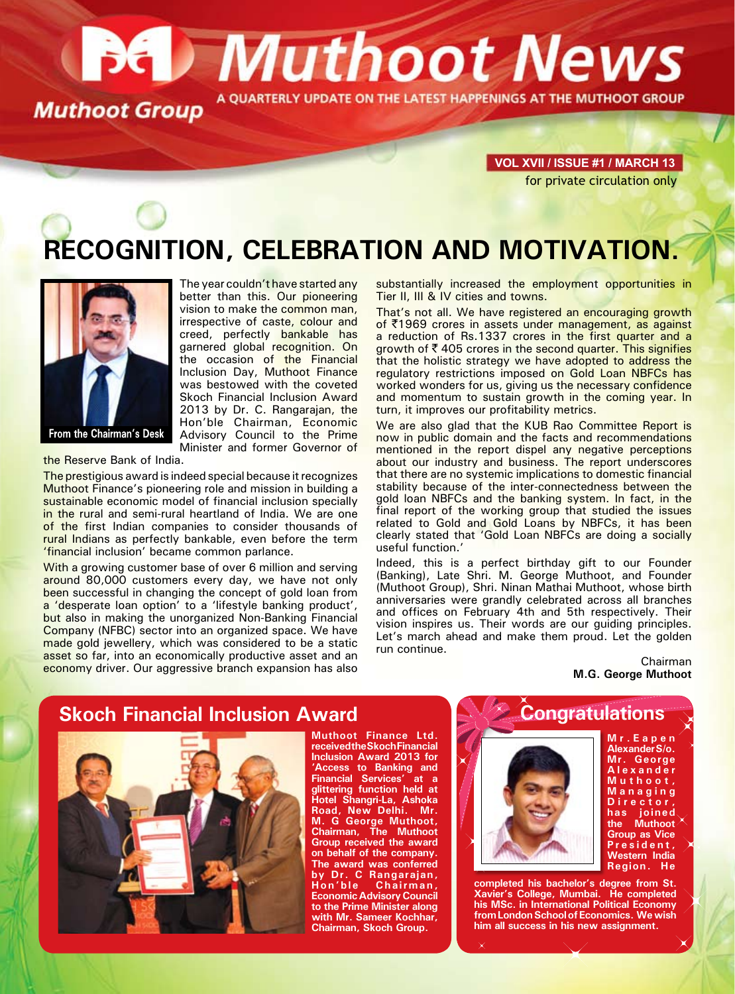# **Bet Muthoot News** A QUARTERLY UPDATE ON THE LATEST HAPPENINGS AT THE MUTHOOT GROUP **Muthoot Group**

**VOL XVII / ISSUE #1 / march 13** for private circulation only

# **RECOGNITION, CELEBRATION AND MOTIVATION.**



better than this. Our pioneering vision to make the common man, irrespective of caste, colour and creed, perfectly bankable has garnered global recognition. On the occasion of the Financial Inclusion Day, Muthoot Finance was bestowed with the coveted Skoch Financial Inclusion Award 2013 by Dr. C. Rangarajan, the Hon'ble Chairman, Economic Advisory Council to the Prime Minister and former Governor of

The year couldn't have started any

the Reserve Bank of India.

The prestigious award is indeed special because it recognizes Muthoot Finance's pioneering role and mission in building a sustainable economic model of financial inclusion specially in the rural and semi-rural heartland of India. We are one of the first Indian companies to consider thousands of rural Indians as perfectly bankable, even before the term 'financial inclusion' became common parlance.

With a growing customer base of over 6 million and serving around 80,000 customers every day, we have not only been successful in changing the concept of gold loan from a 'desperate loan option' to a 'lifestyle banking product', but also in making the unorganized Non-Banking Financial Company (NFBC) sector into an organized space. We have made gold jewellery, which was considered to be a static asset so far, into an economically productive asset and an economy driver. Our aggressive branch expansion has also

substantially increased the employment opportunities in Tier II, III & IV cities and towns.

That's not all. We have registered an encouraging growth of ₹1969 crores in assets under management, as against a reduction of Rs.1337 crores in the first quarter and a growth of  $\bar{\tau}$  405 crores in the second quarter. This signifies that the holistic strategy we have adopted to address the regulatory restrictions imposed on Gold Loan NBFCs has worked wonders for us, giving us the necessary confidence and momentum to sustain growth in the coming year. In turn, it improves our profitability metrics.

We are also glad that the KUB Rao Committee Report is now in public domain and the facts and recommendations mentioned in the report dispel any negative perceptions about our industry and business. The report underscores that there are no systemic implications to domestic financial stability because of the inter-connectedness between the gold loan NBFCs and the banking system. In fact, in the final report of the working group that studied the issues related to Gold and Gold Loans by NBFCs, it has been clearly stated that 'Gold Loan NBFCs are doing a socially useful function.'

Indeed, this is a perfect birthday gift to our Founder (Banking), Late Shri. M. George Muthoot, and Founder (Muthoot Group), Shri. Ninan Mathai Muthoot, whose birth anniversaries were grandly celebrated across all branches and offices on February 4th and 5th respectively. Their vision inspires us. Their words are our guiding principles. Let's march ahead and make them proud. Let the golden run continue.

> Chairman **M.G. George Muthoot**

## **Skoch Financial Inclusion Award**

**Muthoot Finance Ltd. received the Skoch Financial Inclusion Award 2013 for 'Access to Banking and Financial Services' at a glittering function held at Hotel Shangri-La, Ashoka Road, New Delhi. Mr. M. G George Muthoot, Chairman, The Muthoot Group received the award on behalf of the company. The award was conferred by Dr. C Rangarajan, Hon'ble Chairman, Economic Advisory Council to the Prime Minister along with Mr. Sameer Kochhar, Chairman, Skoch Group.**

### **Congratulations**



**M r . E a p e n Alexander S/o. Mr. George A l e x a n d e r M u t h o o t , M a n a g i n g D i r e c t o r , has joined the Muthoot Group as Vice P r e s i d e n t , Western India Region. He** 

**completed his bachelor's degree from St. Xavier's College, Mumbai. He completed his MSc. in International Political Economy from London School of Economics. We wish him all success in his new assignment.**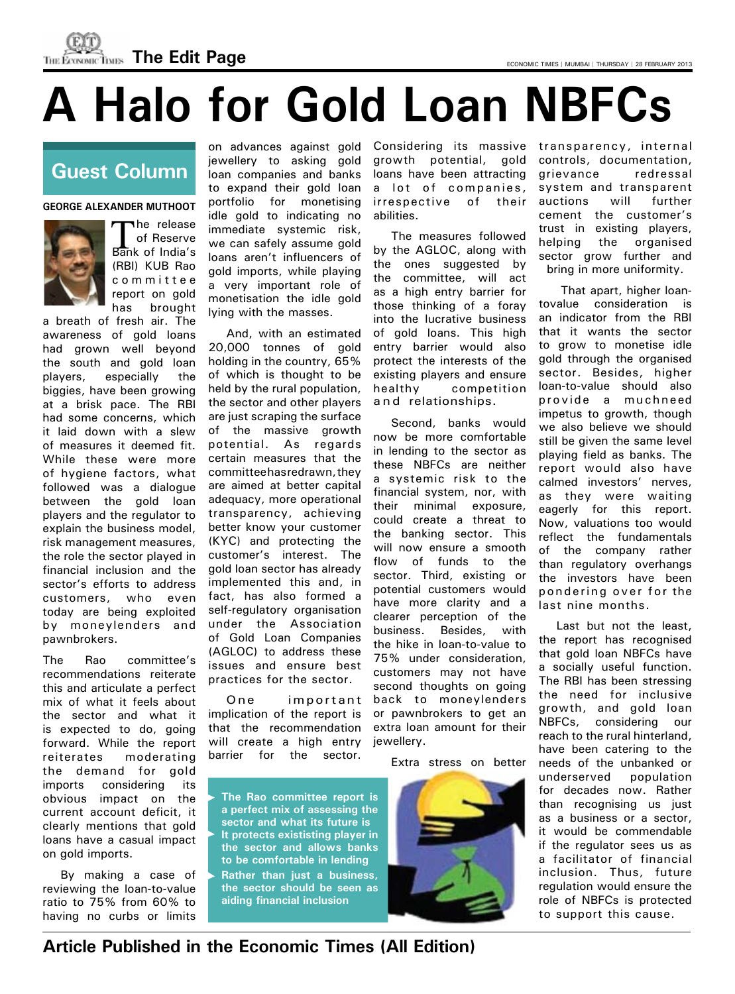**THE ECONOMIC TIMES The Edit Page Experiment Computer Conomic Times | MUMBAI | THURSDAY | 28 FEBRUARY 2013** 

# **A Halo for Gold Loan NBFCs**

## **Guest Column**

**GEORGE ALEXANDER MUTHOOT**



he release of Reserve Bank of India's (RBI) KUB Rao c o m m i t t e e report on gold has brought

a breath of fresh air. The awareness of gold loans had grown well beyond the south and gold loan players, especially the biggies, have been growing at a brisk pace. The RBI had some concerns, which it laid down with a slew of measures it deemed fit. While these were more of hygiene factors, what followed was a dialogue between the gold loan players and the regulator to explain the business model, risk management measures, the role the sector played in financial inclusion and the sector's efforts to address customers, who even today are being exploited by moneylenders and pawnbrokers.

The Rao committee's recommendations reiterate this and articulate a perfect mix of what it feels about the sector and what it is expected to do, going forward. While the report reiterates moderating the demand for gold imports considering its obvious impact on the current account deficit, it clearly mentions that gold loans have a casual impact on gold imports.

By making a case of reviewing the loan-to-value ratio to 75% from 60% to having no curbs or limits

on advances against gold jewellery to asking gold loan companies and banks to expand their gold loan portfolio for monetising idle gold to indicating no immediate systemic risk, we can safely assume gold loans aren't influencers of gold imports, while playing a very important role of monetisation the idle gold lying with the masses.

And, with an estimated 20,000 tonnes of gold holding in the country, 65% of which is thought to be held by the rural population, the sector and other players are just scraping the surface of the massive growth potential. As regards certain measures that the committee has redrawn, they are aimed at better capital adequacy, more operational transparency, achieving better know your customer (KYC) and protecting the customer's interest. The gold loan sector has already implemented this and, in fact, has also formed a self-regulatory organisation under the Association of Gold Loan Companies (AGLOC) to address these issues and ensure best practices for the sector.

One important implication of the report is that the recommendation will create a high entry barrier for the sector.

Considering its massive transparency, internal growth potential, gold loans have been attracting a lot of companies, irrespective of their abilities.

The measures followed by the AGLOC, along with the ones suggested by the committee, will act as a high entry barrier for those thinking of a foray into the lucrative business of gold loans. This high entry barrier would also protect the interests of the existing players and ensure healthy competition and relationships.

Second, banks would now be more comfortable in lending to the sector as these NBFCs are neither a systemic risk to the financial system, nor, with their minimal exposure, could create a threat to the banking sector. This will now ensure a smooth flow of funds to the sector. Third, existing or potential customers would have more clarity and a clearer perception of the business. Besides, with the hike in loan-to-value to 75% under consideration, customers may not have second thoughts on going back to moneylenders or pawnbrokers to get an extra loan amount for their jewellery.

Extra stress on better

**The Rao committee report is a perfect mix of assessing the sector and what its future is It protects exististing player in the sector and allows banks to be comfortable in lending Rather than just a business, the sector should be seen as aiding financial inclusion**



controls, documentation, grievance redressal system and transparent auctions will further cement the customer's trust in existing players, helping the organised sector grow further and bring in more uniformity.

 That apart, higher loantovalue consideration is an indicator from the RBI that it wants the sector to grow to monetise idle gold through the organised sector. Besides, higher loan-to-value should also provide a muchne ed impetus to growth, though we also believe we should still be given the same level playing field as banks. The report would also have calmed investors' nerves, as they were waiting eagerly for this report. Now, valuations too would reflect the fundamentals of the company rather than regulatory overhangs the investors have been pondering over for the last nine months.

Last but not the least, the report has recognised that gold loan NBFCs have a socially useful function. The RBI has been stressing the need for inclusive growth, and gold loan NBFCs, considering our reach to the rural hinterland, have been catering to the needs of the unbanked or underserved population for decades now. Rather than recognising us just as a business or a sector, it would be commendable if the regulator sees us as a facilitator of financial inclusion. Thus, future regulation would ensure the role of NBFCs is protected to support this cause.

**Article Published in the Economic Times (All Edition)**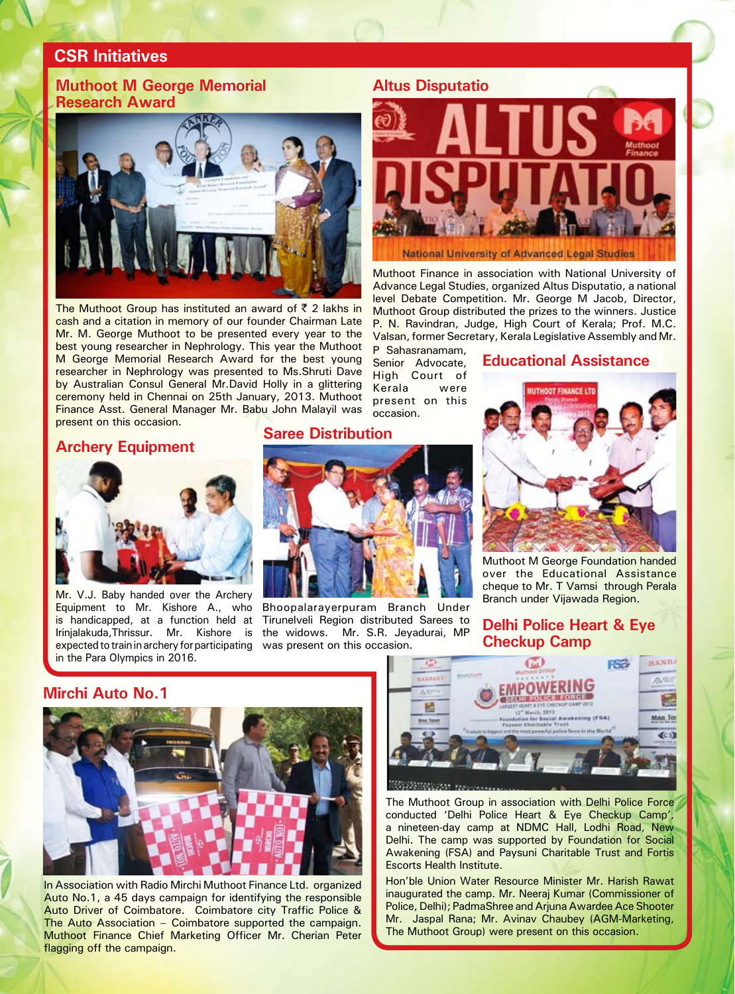#### **CSR Initiatives**

#### **Muthoot M George Memorial Research Award**



The Muthoot Group has instituted an award of  $\bar{z}$  2 lakhs in cash and a citation in memory of our founder Chairman Late Mr. M. George Muthoot to be presented every year to the best young researcher in Nephrology. This year the Muthoot M George Memorial Research Award for the best young researcher in Nephrology was presented to Ms.Shruti Dave by Australian Consul General Mr.David Holly in a glittering ceremony held in Chennai on 25th January, 2013. Muthoot Finance Asst. General Manager Mr. Babu John Malayil was present on this occasion.

#### **Archery Equipment**



Mr. V.J. Baby handed over the Archery Equipment to Mr. Kishore A., who is handicapped, at a function held at Irinjalakuda,Thrissur. Mr. Kishore is expected to train in archery for participating in the Para Olympics in 2016.

#### **Saree Distribution**



P Sahasranamam, Senior Advocate, High Court of Kerala were present on this

occasion.

Bhoopalarayerpuram Branch Under Tirunelveli Region distributed Sarees to the widows. Mr. S.R. Jeyadurai, MP was present on this occasion.



Muthoot Finance in association with National University of Advance Legal Studies, organized Altus Disputatio, a national level Debate Competition. Mr. George M Jacob, Director, Muthoot Group distributed the prizes to the winners. Justice P. N. Ravindran, Judge, High Court of Kerala; Prof. M.C. Valsan, former Secretary, Kerala Legislative Assembly and Mr.

**Educational Assistance**



Muthoot M George Foundation handed over the Educational Assistance cheque to Mr. T Vamsi through Perala Branch under Vijawada Region.

#### **Delhi Police Heart & Eye Checkup Camp**

**Mirchi Auto No.1**



In Association with Radio Mirchi Muthoot Finance Ltd. organized Auto No.1, a 45 days campaign for identifying the responsible Auto Driver of Coimbatore. Coimbatore city Traffic Police & The Auto Association – Coimbatore supported the campaign. Muthoot Finance Chief Marketing Officer Mr. Cherian Peter flagging off the campaign.



The Muthoot Group in association with Delhi Police Force conducted 'Delhi Police Heart & Eye Checkup Camp', a nineteen-day camp at NDMC Hall, Lodhi Road, New Delhi. The camp was supported by Foundation for Social Awakening (FSA) and Paysuni Charitable Trust and Fortis Escorts Health Institute.

Hon'ble Union Water Resource Minister Mr. Harish Rawat inaugurated the camp. Mr. Neeraj Kumar (Commissioner of Police, Delhi); PadmaShree and Arjuna Awardee Ace Shooter Mr. Jaspal Rana; Mr. Avinav Chaubey (AGM-Marketing, The Muthoot Group) were present on this occasion.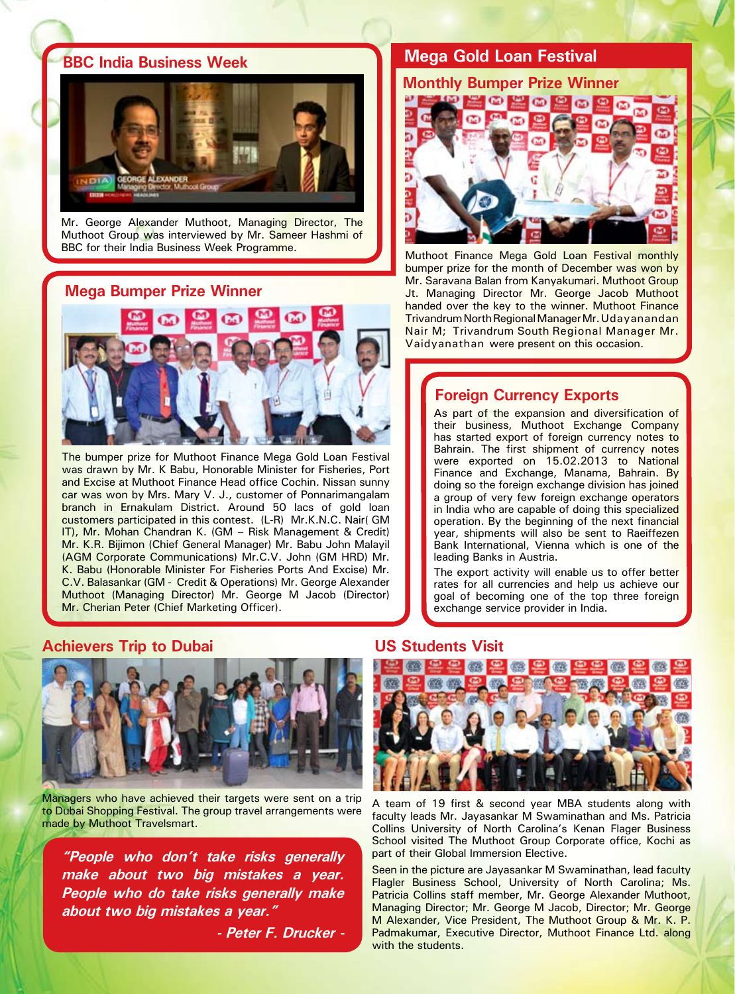#### **BBC India Business Week**



Mr. George Alexander Muthoot, Managing Director, The Muthoot Group was interviewed by Mr. Sameer Hashmi of BBC for their India Business Week Programme.

#### **Mega Bumper Prize Winner**



The bumper prize for Muthoot Finance Mega Gold Loan Festival was drawn by Mr. K Babu, Honorable Minister for Fisheries, Port and Excise at Muthoot Finance Head office Cochin. Nissan sunny car was won by Mrs. Mary V. J., customer of Ponnarimangalam branch in Ernakulam District. Around 50 lacs of gold loan customers participated in this contest. (L-R) Mr.K.N.C. Nair( GM IT), Mr. Mohan Chandran K. (GM – Risk Management & Credit) Mr. K.R. Bijimon (Chief General Manager) Mr. Babu John Malayil (Agm Corporate Communications) Mr.C.V. John (GM HRD) Mr. K. Babu (Honorable Minister For Fisheries Ports And Excise) Mr. C.V. Balasankar (GM - Credit & Operations) Mr. George Alexander Muthoot (Managing Director) Mr. George M Jacob (Director) Mr. Cherian Peter (Chief Marketing Officer).

#### **Mega Gold Loan Festival**



Muthoot Finance Mega Gold Loan Festival monthly bumper prize for the month of December was won by Mr. Saravana Balan from Kanyakumari. Muthoot Group Jt. Managing Director Mr. George Jacob Muthoot handed over the key to the winner. Muthoot Finance Trivandrum North Regional Manager Mr. Udayanandan Nair M; Trivandrum South Regional Manager Mr. Vaidyanathan were present on this occasion.

#### **Foreign Currency Exports**

As part of the expansion and diversification of their business, Muthoot Exchange Company has started export of foreign currency notes to Bahrain. The first shipment of currency notes were exported on 15.02.2013 to National Finance and Exchange, Manama, Bahrain. By doing so the foreign exchange division has joined a group of very few foreign exchange operators in India who are capable of doing this specialized operation. By the beginning of the next financial year, shipments will also be sent to Raeiffezen Bank International, Vienna which is one of the leading Banks in Austria.

The export activity will enable us to offer better rates for all currencies and help us achieve our goal of becoming one of the top three foreign exchange service provider in India.

#### **Achievers Trip to Dubai**



Managers who have achieved their targets were sent on a trip to Dubai Shopping Festival. The group travel arrangements were made by Muthoot Travelsmart.

**"People who don't take risks generally make about two big mistakes a year. People who do take risks generally make about two big mistakes a year."** 

**- Peter F. Drucker -**

#### **US Students Visit**



A team of 19 first & second year MBA students along with faculty leads Mr. Jayasankar M Swaminathan and Ms. Patricia Collins University of North Carolina's Kenan Flager Business School visited The Muthoot Group Corporate office, Kochi as part of their Global Immersion Elective.

Seen in the picture are Jayasankar M Swaminathan, lead faculty Flagler Business School, University of North Carolina; Ms. Patricia Collins staff member, Mr. George Alexander Muthoot, Managing Director; Mr. George M Jacob, Director; Mr. George M Alexander, Vice President, The Muthoot Group & Mr. K. P. Padmakumar, Executive Director, Muthoot Finance Ltd. along with the students.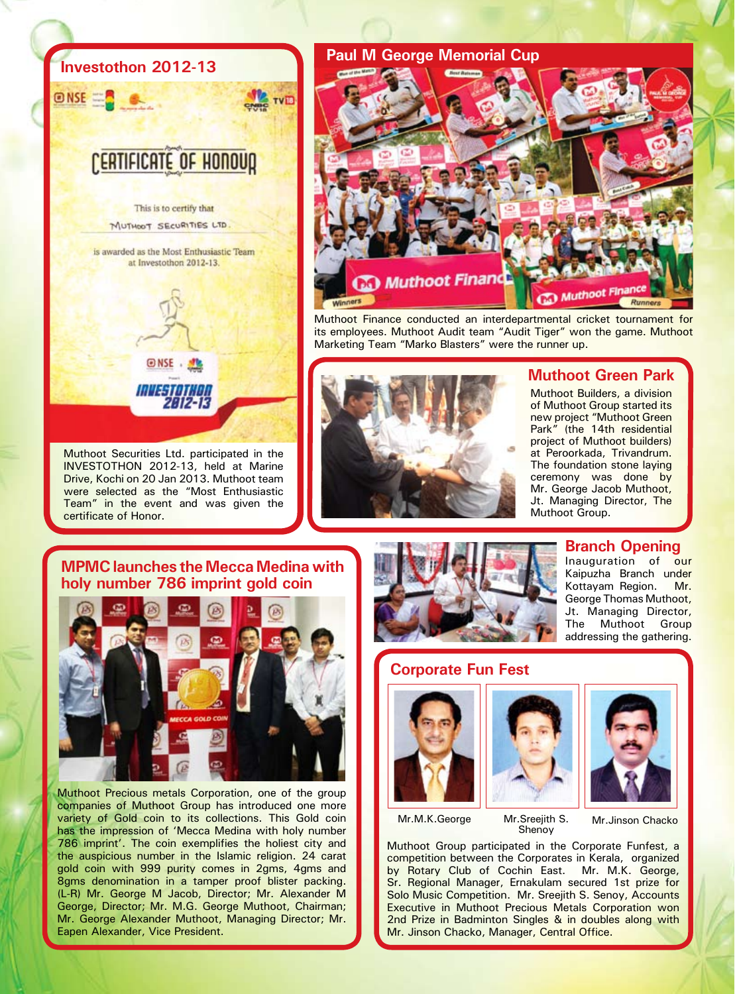### **Investothon 2012-13**

**ONSE** 

# **CERTIFICATE OF HONOUR**

**TVID** 

This is to certify that MUTHOOT SECURITIES LTD

is awarded as the Most Enthusiastic Team at Investothon 2012-13.

**ENSE** . NO

musa orkon 2012-13

Muthoot Securities Ltd. participated in the INVESTOTHON 2012-13, held at Marine Drive, Kochi on 20 Jan 2013. Muthoot team were selected as the "Most Enthusiastic Team" in the event and was given the certificate of Honor.

**MPMC launches the Mecca Medina with** 



Muthoot Precious metals Corporation, one of the group companies of Muthoot Group has introduced one more variety of Gold coin to its collections. This Gold coin has the impression of 'Mecca Medina with holy number 786 imprint'. The coin exemplifies the holiest city and the auspicious number in the Islamic religion. 24 carat gold coin with 999 purity comes in 2gms, 4gms and 8gms denomination in a tamper proof blister packing. (L-R) Mr. George M Jacob, Director; Mr. Alexander M George, Director; Mr. M.G. George Muthoot, Chairman; Mr. George Alexander Muthoot, Managing Director; Mr. Eapen Alexander, Vice President.



Muthoot Finance conducted an interdepartmental cricket tournament for its employees. Muthoot Audit team "Audit Tiger" won the game. Muthoot Marketing Team "Marko Blasters" were the runner up.



#### **Muthoot Green Park**

Muthoot Builders, a division of Muthoot Group started its new project "Muthoot Green Park" (the 14th residential project of Muthoot builders) at Peroorkada, Trivandrum. The foundation stone laying ceremony was done by Mr. George Jacob Muthoot, Jt. Managing Director, The Muthoot Group.



#### **Branch Opening**

Inauguration of our Kaipuzha Branch under Kottayam Region. Mr. George Thomas Muthoot, Jt. Managing Director, The Muthoot Group addressing the gathering.

#### **Corporate Fun Fest**







Mr.M.K.George Mr.Sreejith S.

Shenoy

Mr.Jinson Chacko

Muthoot Group participated in the Corporate Funfest, a competition between the Corporates in Kerala, organized by Rotary Club of Cochin East. Mr. M.K. George, Sr. Regional Manager, Ernakulam secured 1st prize for Solo Music Competition. Mr. Sreejith S. Senoy, Accounts Executive in Muthoot Precious Metals Corporation won 2nd Prize in Badminton Singles & in doubles along with Mr. Jinson Chacko, Manager, Central Office.